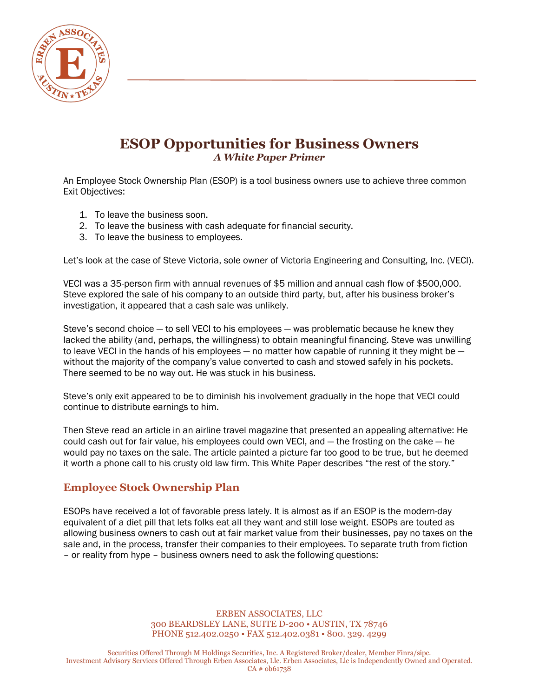

# **ESOP Opportunities for Business Owners** *A White Paper Primer*

An Employee Stock Ownership Plan (ESOP) is a tool business owners use to achieve three common Exit Objectives:

- 1. To leave the business soon.
- 2. To leave the business with cash adequate for financial security.
- 3. To leave the business to employees.

Let's look at the case of Steve Victoria, sole owner of Victoria Engineering and Consulting, Inc. (VECI).

VECI was a 35-person firm with annual revenues of \$5 million and annual cash flow of \$500,000. Steve explored the sale of his company to an outside third party, but, after his business broker's investigation, it appeared that a cash sale was unlikely.

Steve's second choice  $-$  to sell VECI to his employees  $-$  was problematic because he knew they lacked the ability (and, perhaps, the willingness) to obtain meaningful financing. Steve was unwilling to leave VECI in the hands of his employees  $-$  no matter how capable of running it they might be  $$ without the majority of the company's value converted to cash and stowed safely in his pockets. There seemed to be no way out. He was stuck in his business.

Steve's only exit appeared to be to diminish his involvement gradually in the hope that VECI could continue to distribute earnings to him.

Then Steve read an article in an airline travel magazine that presented an appealing alternative: He could cash out for fair value, his employees could own VECI, and — the frosting on the cake — he would pay no taxes on the sale. The article painted a picture far too good to be true, but he deemed it worth a phone call to his crusty old law firm. This White Paper describes "the rest of the story."

### **Employee Stock Ownership Plan**

ESOPs have received a lot of favorable press lately. It is almost as if an ESOP is the modern-day equivalent of a diet pill that lets folks eat all they want and still lose weight. ESOPs are touted as allowing business owners to cash out at fair market value from their businesses, pay no taxes on the sale and, in the process, transfer their companies to their employees. To separate truth from fiction – or reality from hype – business owners need to ask the following questions:

> ERBEN ASSOCIATES, LLC 300 BEARDSLEY LANE, SUITE D-200 • AUSTIN, TX 78746 PHONE 512.402.0250 • FAX 512.402.0381 • 800. 329. 4299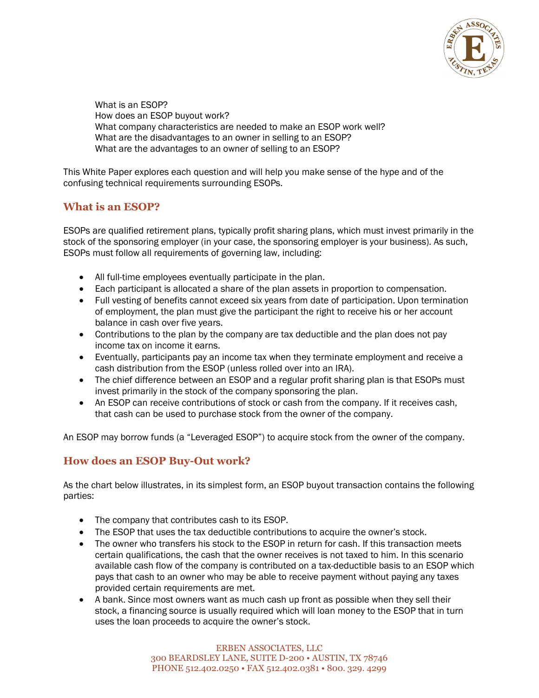

What is an ESOP? How does an ESOP buyout work? What company characteristics are needed to make an ESOP work well? What are the disadvantages to an owner in selling to an ESOP? What are the advantages to an owner of selling to an ESOP?

This White Paper explores each question and will help you make sense of the hype and of the confusing technical requirements surrounding ESOPs.

### **What is an ESOP?**

ESOPs are qualified retirement plans, typically profit sharing plans, which must invest primarily in the stock of the sponsoring employer (in your case, the sponsoring employer is your business). As such, ESOPs must follow all requirements of governing law, including:

- All full-time employees eventually participate in the plan.
- Each participant is allocated a share of the plan assets in proportion to compensation.
- Full vesting of benefits cannot exceed six years from date of participation. Upon termination of employment, the plan must give the participant the right to receive his or her account balance in cash over five years.
- Contributions to the plan by the company are tax deductible and the plan does not pay income tax on income it earns.
- Eventually, participants pay an income tax when they terminate employment and receive a cash distribution from the ESOP (unless rolled over into an IRA).
- The chief difference between an ESOP and a regular profit sharing plan is that ESOPs must invest primarily in the stock of the company sponsoring the plan.
- An ESOP can receive contributions of stock or cash from the company. If it receives cash, that cash can be used to purchase stock from the owner of the company.

An ESOP may borrow funds (a "Leveraged ESOP") to acquire stock from the owner of the company.

# **How does an ESOP Buy-Out work?**

As the chart below illustrates, in its simplest form, an ESOP buyout transaction contains the following parties:

- The company that contributes cash to its ESOP.
- The ESOP that uses the tax deductible contributions to acquire the owner's stock.
- The owner who transfers his stock to the ESOP in return for cash. If this transaction meets certain qualifications, the cash that the owner receives is not taxed to him. In this scenario available cash flow of the company is contributed on a tax-deductible basis to an ESOP which pays that cash to an owner who may be able to receive payment without paying any taxes provided certain requirements are met.
- A bank. Since most owners want as much cash up front as possible when they sell their stock, a financing source is usually required which will loan money to the ESOP that in turn uses the loan proceeds to acquire the owner's stock.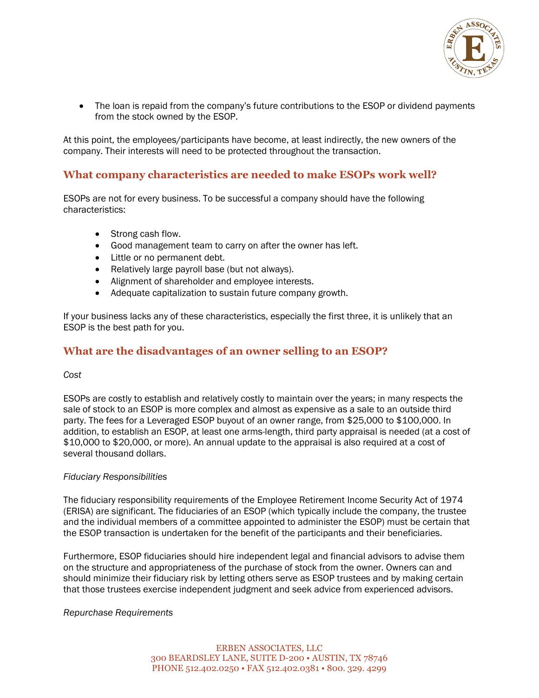

• The loan is repaid from the company's future contributions to the ESOP or dividend payments from the stock owned by the ESOP.

At this point, the employees/participants have become, at least indirectly, the new owners of the company. Their interests will need to be protected throughout the transaction.

### **What company characteristics are needed to make ESOPs work well?**

ESOPs are not for every business. To be successful a company should have the following characteristics:

- Strong cash flow.
- Good management team to carry on after the owner has left.
- Little or no permanent debt.
- Relatively large payroll base (but not always).
- Alignment of shareholder and employee interests.
- Adequate capitalization to sustain future company growth.

If your business lacks any of these characteristics, especially the first three, it is unlikely that an ESOP is the best path for you.

### **What are the disadvantages of an owner selling to an ESOP?**

### *Cost*

ESOPs are costly to establish and relatively costly to maintain over the years; in many respects the sale of stock to an ESOP is more complex and almost as expensive as a sale to an outside third party. The fees for a Leveraged ESOP buyout of an owner range, from \$25,000 to \$100,000. In addition, to establish an ESOP, at least one arms-length, third party appraisal is needed (at a cost of \$10,000 to \$20,000, or more). An annual update to the appraisal is also required at a cost of several thousand dollars.

### *Fiduciary Responsibilities*

The fiduciary responsibility requirements of the Employee Retirement Income Security Act of 1974 (ERISA) are significant. The fiduciaries of an ESOP (which typically include the company, the trustee and the individual members of a committee appointed to administer the ESOP) must be certain that the ESOP transaction is undertaken for the benefit of the participants and their beneficiaries.

Furthermore, ESOP fiduciaries should hire independent legal and financial advisors to advise them on the structure and appropriateness of the purchase of stock from the owner. Owners can and should minimize their fiduciary risk by letting others serve as ESOP trustees and by making certain that those trustees exercise independent judgment and seek advice from experienced advisors.

### *Repurchase Requirements*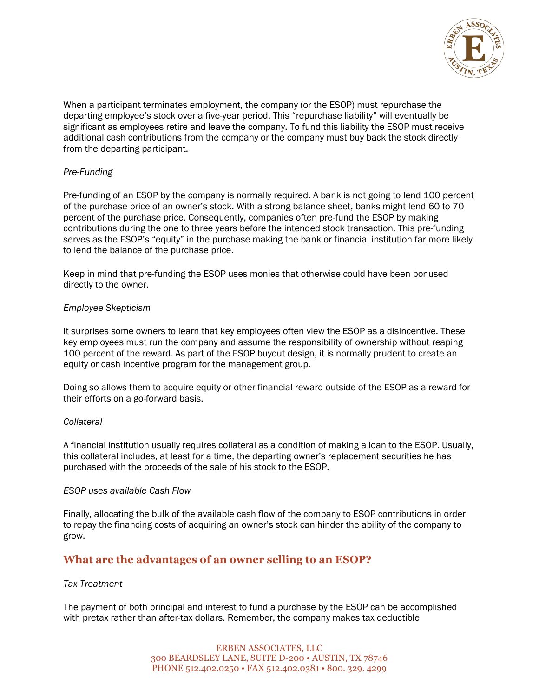

When a participant terminates employment, the company (or the ESOP) must repurchase the departing employee's stock over a five-year period. This "repurchase liability" will eventually be significant as employees retire and leave the company. To fund this liability the ESOP must receive additional cash contributions from the company or the company must buy back the stock directly from the departing participant.

### *Pre-Funding*

Pre-funding of an ESOP by the company is normally required. A bank is not going to lend 100 percent of the purchase price of an owner's stock. With a strong balance sheet, banks might lend 60 to 70 percent of the purchase price. Consequently, companies often pre-fund the ESOP by making contributions during the one to three years before the intended stock transaction. This pre-funding serves as the ESOP's "equity" in the purchase making the bank or financial institution far more likely to lend the balance of the purchase price.

Keep in mind that pre-funding the ESOP uses monies that otherwise could have been bonused directly to the owner.

### *Employee Skepticism*

It surprises some owners to learn that key employees often view the ESOP as a disincentive. These key employees must run the company and assume the responsibility of ownership without reaping 100 percent of the reward. As part of the ESOP buyout design, it is normally prudent to create an equity or cash incentive program for the management group.

Doing so allows them to acquire equity or other financial reward outside of the ESOP as a reward for their efforts on a go-forward basis.

#### *Collateral*

A financial institution usually requires collateral as a condition of making a loan to the ESOP. Usually, this collateral includes, at least for a time, the departing owner's replacement securities he has purchased with the proceeds of the sale of his stock to the ESOP.

#### *ESOP uses available Cash Flow*

Finally, allocating the bulk of the available cash flow of the company to ESOP contributions in order to repay the financing costs of acquiring an owner's stock can hinder the ability of the company to grow.

### **What are the advantages of an owner selling to an ESOP?**

### *Tax Treatment*

The payment of both principal and interest to fund a purchase by the ESOP can be accomplished with pretax rather than after-tax dollars. Remember, the company makes tax deductible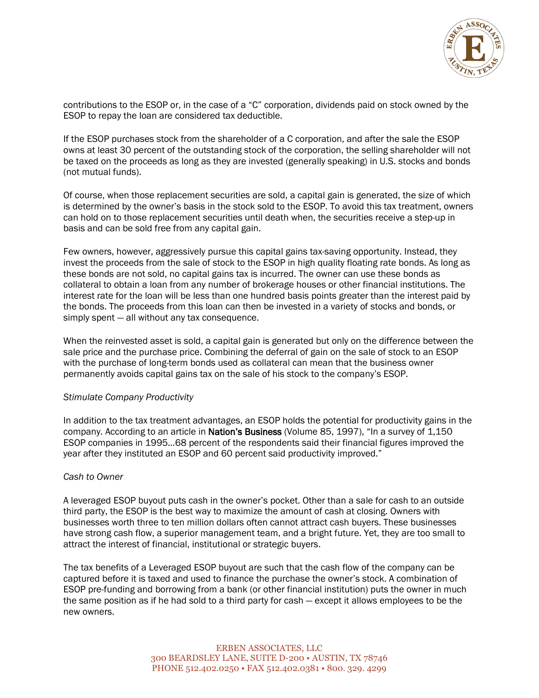

contributions to the ESOP or, in the case of a "C" corporation, dividends paid on stock owned by the ESOP to repay the loan are considered tax deductible.

If the ESOP purchases stock from the shareholder of a C corporation, and after the sale the ESOP owns at least 30 percent of the outstanding stock of the corporation, the selling shareholder will not be taxed on the proceeds as long as they are invested (generally speaking) in U.S. stocks and bonds (not mutual funds).

Of course, when those replacement securities are sold, a capital gain is generated, the size of which is determined by the owner's basis in the stock sold to the ESOP. To avoid this tax treatment, owners can hold on to those replacement securities until death when, the securities receive a step-up in basis and can be sold free from any capital gain.

Few owners, however, aggressively pursue this capital gains tax-saving opportunity. Instead, they invest the proceeds from the sale of stock to the ESOP in high quality floating rate bonds. As long as these bonds are not sold, no capital gains tax is incurred. The owner can use these bonds as collateral to obtain a loan from any number of brokerage houses or other financial institutions. The interest rate for the loan will be less than one hundred basis points greater than the interest paid by the bonds. The proceeds from this loan can then be invested in a variety of stocks and bonds, or simply spent — all without any tax consequence.

When the reinvested asset is sold, a capital gain is generated but only on the difference between the sale price and the purchase price. Combining the deferral of gain on the sale of stock to an ESOP with the purchase of long-term bonds used as collateral can mean that the business owner permanently avoids capital gains tax on the sale of his stock to the company's ESOP.

#### *Stimulate Company Productivity*

In addition to the tax treatment advantages, an ESOP holds the potential for productivity gains in the company. According to an article in Nation's Business (Volume 85, 1997), "In a survey of 1,150 ESOP companies in 1995…68 percent of the respondents said their financial figures improved the year after they instituted an ESOP and 60 percent said productivity improved."

#### *Cash to Owner*

A leveraged ESOP buyout puts cash in the owner's pocket. Other than a sale for cash to an outside third party, the ESOP is the best way to maximize the amount of cash at closing. Owners with businesses worth three to ten million dollars often cannot attract cash buyers. These businesses have strong cash flow, a superior management team, and a bright future. Yet, they are too small to attract the interest of financial, institutional or strategic buyers.

The tax benefits of a Leveraged ESOP buyout are such that the cash flow of the company can be captured before it is taxed and used to finance the purchase the owner's stock. A combination of ESOP pre-funding and borrowing from a bank (or other financial institution) puts the owner in much the same position as if he had sold to a third party for cash — except it allows employees to be the new owners.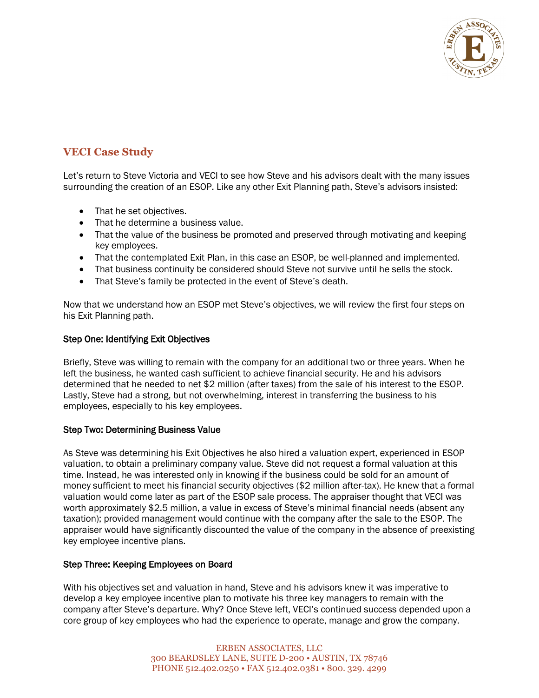

# **VECI Case Study**

Let's return to Steve Victoria and VECI to see how Steve and his advisors dealt with the many issues surrounding the creation of an ESOP. Like any other Exit Planning path, Steve's advisors insisted:

- That he set objectives.
- That he determine a business value.
- That the value of the business be promoted and preserved through motivating and keeping key employees.
- That the contemplated Exit Plan, in this case an ESOP, be well-planned and implemented.
- That business continuity be considered should Steve not survive until he sells the stock.
- That Steve's family be protected in the event of Steve's death.

Now that we understand how an ESOP met Steve's objectives, we will review the first four steps on his Exit Planning path.

### Step One: Identifying Exit Objectives

Briefly, Steve was willing to remain with the company for an additional two or three years. When he left the business, he wanted cash sufficient to achieve financial security. He and his advisors determined that he needed to net \$2 million (after taxes) from the sale of his interest to the ESOP. Lastly, Steve had a strong, but not overwhelming, interest in transferring the business to his employees, especially to his key employees.

### Step Two: Determining Business Value

As Steve was determining his Exit Objectives he also hired a valuation expert, experienced in ESOP valuation, to obtain a preliminary company value. Steve did not request a formal valuation at this time. Instead, he was interested only in knowing if the business could be sold for an amount of money sufficient to meet his financial security objectives (\$2 million after-tax). He knew that a formal valuation would come later as part of the ESOP sale process. The appraiser thought that VECI was worth approximately \$2.5 million, a value in excess of Steve's minimal financial needs (absent any taxation); provided management would continue with the company after the sale to the ESOP. The appraiser would have significantly discounted the value of the company in the absence of preexisting key employee incentive plans.

### Step Three: Keeping Employees on Board

With his objectives set and valuation in hand, Steve and his advisors knew it was imperative to develop a key employee incentive plan to motivate his three key managers to remain with the company after Steve's departure. Why? Once Steve left, VECI's continued success depended upon a core group of key employees who had the experience to operate, manage and grow the company.

> ERBEN ASSOCIATES, LLC 300 BEARDSLEY LANE, SUITE D-200 • AUSTIN, TX 78746 PHONE 512.402.0250 • FAX 512.402.0381 • 800. 329. 4299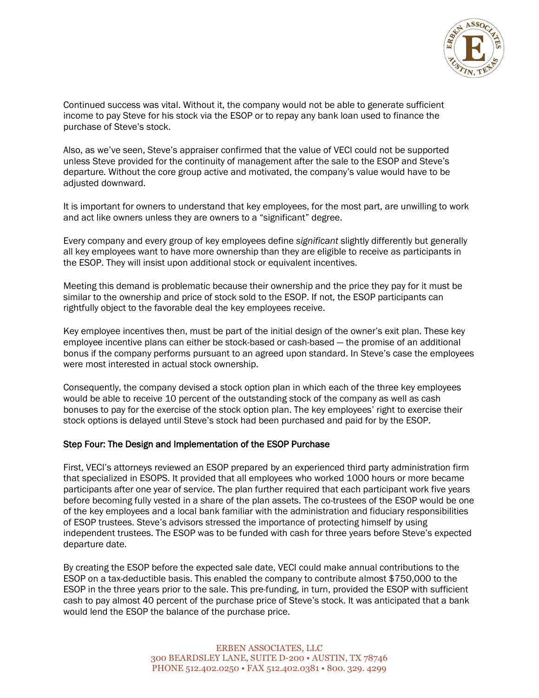

Continued success was vital. Without it, the company would not be able to generate sufficient income to pay Steve for his stock via the ESOP or to repay any bank loan used to finance the purchase of Steve's stock.

Also, as we've seen, Steve's appraiser confirmed that the value of VECI could not be supported unless Steve provided for the continuity of management after the sale to the ESOP and Steve's departure. Without the core group active and motivated, the company's value would have to be adjusted downward.

It is important for owners to understand that key employees, for the most part, are unwilling to work and act like owners unless they are owners to a "significant" degree.

Every company and every group of key employees define *significant* slightly differently but generally all key employees want to have more ownership than they are eligible to receive as participants in the ESOP. They will insist upon additional stock or equivalent incentives.

Meeting this demand is problematic because their ownership and the price they pay for it must be similar to the ownership and price of stock sold to the ESOP. If not, the ESOP participants can rightfully object to the favorable deal the key employees receive.

Key employee incentives then, must be part of the initial design of the owner's exit plan. These key employee incentive plans can either be stock-based or cash-based — the promise of an additional bonus if the company performs pursuant to an agreed upon standard. In Steve's case the employees were most interested in actual stock ownership.

Consequently, the company devised a stock option plan in which each of the three key employees would be able to receive 10 percent of the outstanding stock of the company as well as cash bonuses to pay for the exercise of the stock option plan. The key employees' right to exercise their stock options is delayed until Steve's stock had been purchased and paid for by the ESOP.

### Step Four: The Design and Implementation of the ESOP Purchase

First, VECI's attorneys reviewed an ESOP prepared by an experienced third party administration firm that specialized in ESOPS. It provided that all employees who worked 1000 hours or more became participants after one year of service. The plan further required that each participant work five years before becoming fully vested in a share of the plan assets. The co-trustees of the ESOP would be one of the key employees and a local bank familiar with the administration and fiduciary responsibilities of ESOP trustees. Steve's advisors stressed the importance of protecting himself by using independent trustees. The ESOP was to be funded with cash for three years before Steve's expected departure date.

By creating the ESOP before the expected sale date, VECI could make annual contributions to the ESOP on a tax-deductible basis. This enabled the company to contribute almost \$750,000 to the ESOP in the three years prior to the sale. This pre-funding, in turn, provided the ESOP with sufficient cash to pay almost 40 percent of the purchase price of Steve's stock. It was anticipated that a bank would lend the ESOP the balance of the purchase price.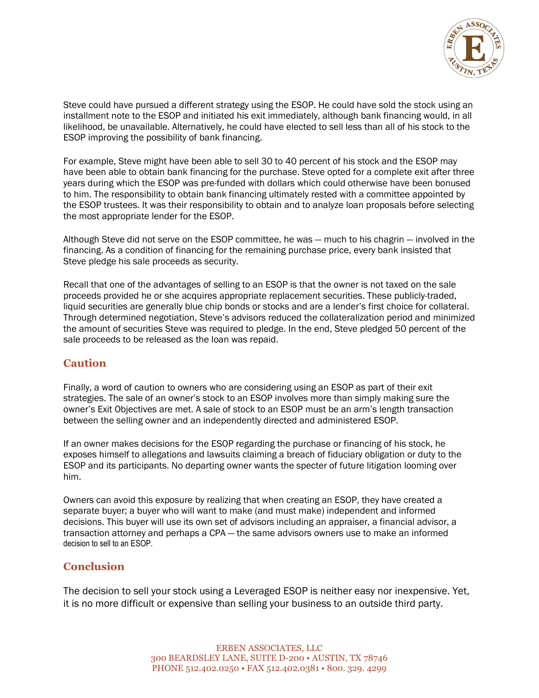

Steve could have pursued a different strategy using the ESOP. He could have sold the stock using an installment note to the ESOP and initiated his exit immediately, although bank financing would, in all likelihood, be unavailable. Alternatively, he could have elected to sell less than all of his stock to the ESOP improving the possibility of bank financing.

For example, Steve might have been able to sell 30 to 40 percent of his stock and the ESOP may have been able to obtain bank financing for the purchase. Steve opted for a complete exit after three years during which the ESOP was pre-funded with dollars which could otherwise have been bonused to him. The responsibility to obtain bank financing ultimately rested with a committee appointed by the ESOP trustees. It was their responsibility to obtain and to analyze loan proposals before selecting the most appropriate lender for the ESOP.

Although Steve did not serve on the ESOP committee, he was — much to his chagrin — involved in the financing. As a condition of financing for the remaining purchase price, every bank insisted that Steve pledge his sale proceeds as security.

Recall that one of the advantages of selling to an ESOP is that the owner is not taxed on the sale proceeds provided he or she acquires appropriate replacement securities. These publicly-traded, liquid securities are generally blue chip bonds or stocks and are a lender's first choice for collateral. Through determined negotiation, Steve's advisors reduced the collateralization period and minimized the amount of securities Steve was required to pledge. In the end, Steve pledged 50 percent of the sale proceeds to be released as the loan was repaid.

# **Caution**

Finally, a word of caution to owners who are considering using an ESOP as part of their exit strategies. The sale of an owner's stock to an ESOP involves more than simply making sure the owner's Exit Objectives are met. A sale of stock to an ESOP must be an arm's length transaction between the selling owner and an independently directed and administered ESOP.

If an owner makes decisions for the ESOP regarding the purchase or financing of his stock, he exposes himself to allegations and lawsuits claiming a breach of fiduciary obligation or duty to the ESOP and its participants. No departing owner wants the specter of future litigation looming over him.

Owners can avoid this exposure by realizing that when creating an ESOP, they have created a separate buyer; a buyer who will want to make (and must make) independent and informed decisions. This buyer will use its own set of advisors including an appraiser, a financial advisor, a transaction attorney and perhaps a CPA — the same advisors owners use to make an informed decision to sell to an ESOP.

# **Conclusion**

The decision to sell your stock using a Leveraged ESOP is neither easy nor inexpensive. Yet, it is no more difficult or expensive than selling your business to an outside third party.